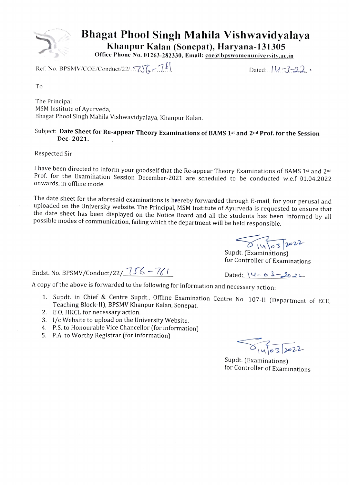

## Bhagat Phool Singh Mahila Vishwavidyalaya Khanpur Kalan (Soncpat), Haryana-131305

Office Phone No. 01263-282330, Email: coc@bpswomenuniversity.ac.in

Ref. No. BPSMV/COE/Conduct/22/. $\sqrt{256}$  -  $7k$ 

To

The Principal MSM Institute of Ayurveda, Bhagat Phool Singh Mahila Vishwavidyalaya, Khanpur Kalan.

### Subject: Date Sheet for Re-appear Theory Examinations of BAMS 1st and 2nd Prof. for the Session Dec- 2021.

### Respected Sir

I have been directed to inform your goodself that the Re-appear Theory Examinations of BAMS 1st and 2nd Prof. for the Examination Session December-2021 are scheduled to be conducted w.e.f 01.04.2022 onwards, in offline mode.

The date sheet for the aforesaid examinations is hrereby forwarded through E-mail, for your perusal and uploaded on the University website. The Principal, MSM Institute of Ayurveda is requested to ensure that the date sheet has been displayed on the Notice Board and all the students has been informed by all possible modes of communication, failing which the department will be held responsible.

 $\begin{array}{c}\n\bigotimes \setminus \setminus \circ \supset \circ \mathcal{V}\n\end{array}$  Supdt. (Examinations)

for Controller of Examinations

Endst. No. BPSMV/Conduct/22/ $\frac{756-761}{}$  Dated:  $\sqrt{4-\omega^2-2\omega^2-1}$ 

A copy of the above is forwarded to the following for information and necessary action:

- 1. Supdt. in Chief & Centre Supdt., Offline Examination Centre No. 107-II (Department of ECE, Teaching Block-II), BPSMV Khanpur Kalan, Sonepat.
- 2. E.O, HKCL for necessary action.
- 3. 1/c Website to upload on the University Website.
- 4. P.S. to Honourable Vice Chancellor (for information) 5. P.A. to Worthy Registrar (for information)
- 

 $\sqrt{1463222}$ 

Supdt. (Examinations) for Controller of Examinations